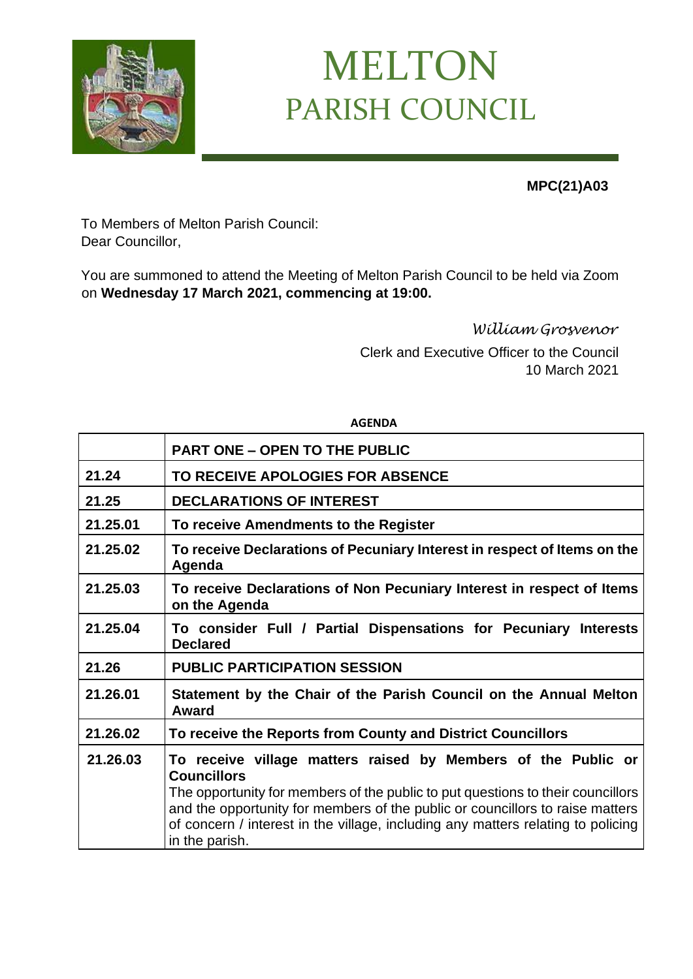

## MELTON PARISH COUNCIL

**MPC(21)A03**

To Members of Melton Parish Council: Dear Councillor,

You are summoned to attend the Meeting of Melton Parish Council to be held via Zoom on **Wednesday 17 March 2021, commencing at 19:00.**

**AGENDA**

*William Grosvenor* 

Clerk and Executive Officer to the Council 10 March 2021

|          | <b>PART ONE - OPEN TO THE PUBLIC</b>                                                                                                                                                                                                                                                                                                                          |
|----------|---------------------------------------------------------------------------------------------------------------------------------------------------------------------------------------------------------------------------------------------------------------------------------------------------------------------------------------------------------------|
| 21.24    | TO RECEIVE APOLOGIES FOR ABSENCE                                                                                                                                                                                                                                                                                                                              |
| 21.25    | <b>DECLARATIONS OF INTEREST</b>                                                                                                                                                                                                                                                                                                                               |
| 21.25.01 | To receive Amendments to the Register                                                                                                                                                                                                                                                                                                                         |
| 21.25.02 | To receive Declarations of Pecuniary Interest in respect of Items on the<br>Agenda                                                                                                                                                                                                                                                                            |
| 21.25.03 | To receive Declarations of Non Pecuniary Interest in respect of Items<br>on the Agenda                                                                                                                                                                                                                                                                        |
| 21.25.04 | To consider Full / Partial Dispensations for Pecuniary Interests<br><b>Declared</b>                                                                                                                                                                                                                                                                           |
| 21.26    | <b>PUBLIC PARTICIPATION SESSION</b>                                                                                                                                                                                                                                                                                                                           |
| 21.26.01 | Statement by the Chair of the Parish Council on the Annual Melton<br>Award                                                                                                                                                                                                                                                                                    |
| 21.26.02 | To receive the Reports from County and District Councillors                                                                                                                                                                                                                                                                                                   |
| 21.26.03 | To receive village matters raised by Members of the Public or<br><b>Councillors</b><br>The opportunity for members of the public to put questions to their councillors<br>and the opportunity for members of the public or councillors to raise matters<br>of concern / interest in the village, including any matters relating to policing<br>in the parish. |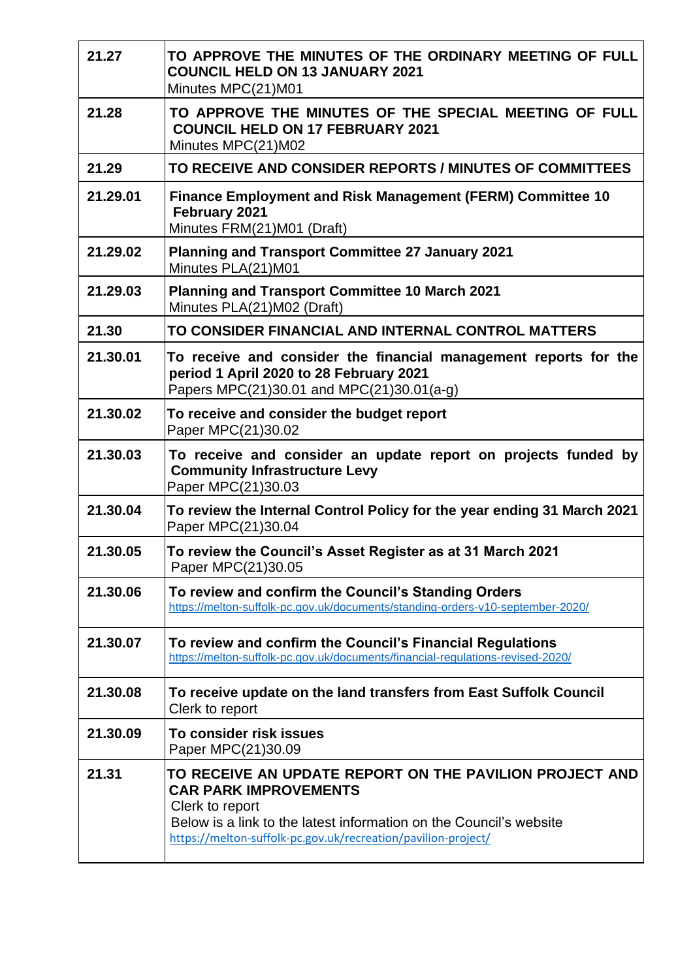| 21.27    | TO APPROVE THE MINUTES OF THE ORDINARY MEETING OF FULL<br><b>COUNCIL HELD ON 13 JANUARY 2021</b><br>Minutes MPC(21)M01                                                                                                                            |
|----------|---------------------------------------------------------------------------------------------------------------------------------------------------------------------------------------------------------------------------------------------------|
| 21.28    | TO APPROVE THE MINUTES OF THE SPECIAL MEETING OF FULL<br><b>COUNCIL HELD ON 17 FEBRUARY 2021</b><br>Minutes MPC(21)M02                                                                                                                            |
| 21.29    | TO RECEIVE AND CONSIDER REPORTS / MINUTES OF COMMITTEES                                                                                                                                                                                           |
| 21.29.01 | Finance Employment and Risk Management (FERM) Committee 10<br>February 2021<br>Minutes FRM(21)M01 (Draft)                                                                                                                                         |
| 21.29.02 | <b>Planning and Transport Committee 27 January 2021</b><br>Minutes PLA(21)M01                                                                                                                                                                     |
| 21.29.03 | <b>Planning and Transport Committee 10 March 2021</b><br>Minutes PLA(21)M02 (Draft)                                                                                                                                                               |
| 21.30    | TO CONSIDER FINANCIAL AND INTERNAL CONTROL MATTERS                                                                                                                                                                                                |
| 21.30.01 | To receive and consider the financial management reports for the<br>period 1 April 2020 to 28 February 2021<br>Papers MPC(21)30.01 and MPC(21)30.01(a-g)                                                                                          |
| 21.30.02 | To receive and consider the budget report<br>Paper MPC(21)30.02                                                                                                                                                                                   |
| 21.30.03 | To receive and consider an update report on projects funded by<br><b>Community Infrastructure Levy</b><br>Paper MPC(21)30.03                                                                                                                      |
| 21.30.04 | To review the Internal Control Policy for the year ending 31 March 2021<br>Paper MPC(21)30.04                                                                                                                                                     |
| 21.30.05 | To review the Council's Asset Register as at 31 March 2021<br>Paper MPC(21)30.05                                                                                                                                                                  |
| 21.30.06 | To review and confirm the Council's Standing Orders<br>https://melton-suffolk-pc.gov.uk/documents/standing-orders-v10-september-2020/                                                                                                             |
| 21.30.07 | To review and confirm the Council's Financial Regulations<br>https://melton-suffolk-pc.gov.uk/documents/financial-regulations-revised-2020/                                                                                                       |
| 21.30.08 | To receive update on the land transfers from East Suffolk Council<br>Clerk to report                                                                                                                                                              |
| 21.30.09 | To consider risk issues<br>Paper MPC(21)30.09                                                                                                                                                                                                     |
| 21.31    | TO RECEIVE AN UPDATE REPORT ON THE PAVILION PROJECT AND<br><b>CAR PARK IMPROVEMENTS</b><br>Clerk to report<br>Below is a link to the latest information on the Council's website<br>https://melton-suffolk-pc.gov.uk/recreation/pavilion-project/ |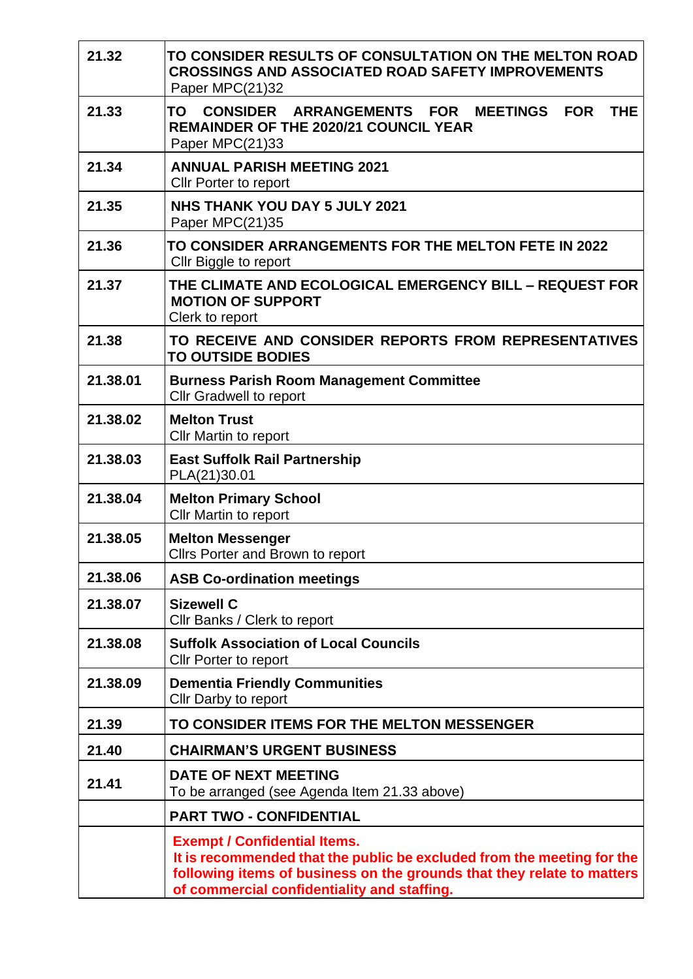| 21.32    | TO CONSIDER RESULTS OF CONSULTATION ON THE MELTON ROAD<br><b>CROSSINGS AND ASSOCIATED ROAD SAFETY IMPROVEMENTS</b><br>Paper MPC(21)32                                                                                                  |
|----------|----------------------------------------------------------------------------------------------------------------------------------------------------------------------------------------------------------------------------------------|
| 21.33    | TO CONSIDER ARRANGEMENTS FOR MEETINGS<br><b>FOR</b><br><b>THE</b><br><b>REMAINDER OF THE 2020/21 COUNCIL YEAR</b><br>Paper MPC(21)33                                                                                                   |
| 21.34    | <b>ANNUAL PARISH MEETING 2021</b><br><b>CIIr Porter to report</b>                                                                                                                                                                      |
| 21.35    | <b>NHS THANK YOU DAY 5 JULY 2021</b><br>Paper MPC(21)35                                                                                                                                                                                |
| 21.36    | TO CONSIDER ARRANGEMENTS FOR THE MELTON FETE IN 2022<br>Cllr Biggle to report                                                                                                                                                          |
| 21.37    | THE CLIMATE AND ECOLOGICAL EMERGENCY BILL - REQUEST FOR<br><b>MOTION OF SUPPORT</b><br>Clerk to report                                                                                                                                 |
| 21.38    | TO RECEIVE AND CONSIDER REPORTS FROM REPRESENTATIVES<br><b>TO OUTSIDE BODIES</b>                                                                                                                                                       |
| 21.38.01 | <b>Burness Parish Room Management Committee</b><br><b>Cllr Gradwell to report</b>                                                                                                                                                      |
| 21,38,02 | <b>Melton Trust</b><br>Cllr Martin to report                                                                                                                                                                                           |
| 21.38.03 | <b>East Suffolk Rail Partnership</b><br>PLA(21)30.01                                                                                                                                                                                   |
| 21.38.04 | <b>Melton Primary School</b><br>Cllr Martin to report                                                                                                                                                                                  |
| 21.38.05 | <b>Melton Messenger</b><br>Cllrs Porter and Brown to report                                                                                                                                                                            |
| 21.38.06 | <b>ASB Co-ordination meetings</b>                                                                                                                                                                                                      |
| 21.38.07 | <b>Sizewell C</b><br>Cllr Banks / Clerk to report                                                                                                                                                                                      |
| 21.38.08 | <b>Suffolk Association of Local Councils</b><br>Cllr Porter to report                                                                                                                                                                  |
| 21.38.09 | <b>Dementia Friendly Communities</b><br>Cllr Darby to report                                                                                                                                                                           |
| 21.39    | TO CONSIDER ITEMS FOR THE MELTON MESSENGER                                                                                                                                                                                             |
| 21.40    | <b>CHAIRMAN'S URGENT BUSINESS</b>                                                                                                                                                                                                      |
| 21.41    | <b>DATE OF NEXT MEETING</b><br>To be arranged (see Agenda Item 21.33 above)                                                                                                                                                            |
|          | <b>PART TWO - CONFIDENTIAL</b>                                                                                                                                                                                                         |
|          | <b>Exempt / Confidential Items.</b><br>It is recommended that the public be excluded from the meeting for the<br>following items of business on the grounds that they relate to matters<br>of commercial confidentiality and staffing. |